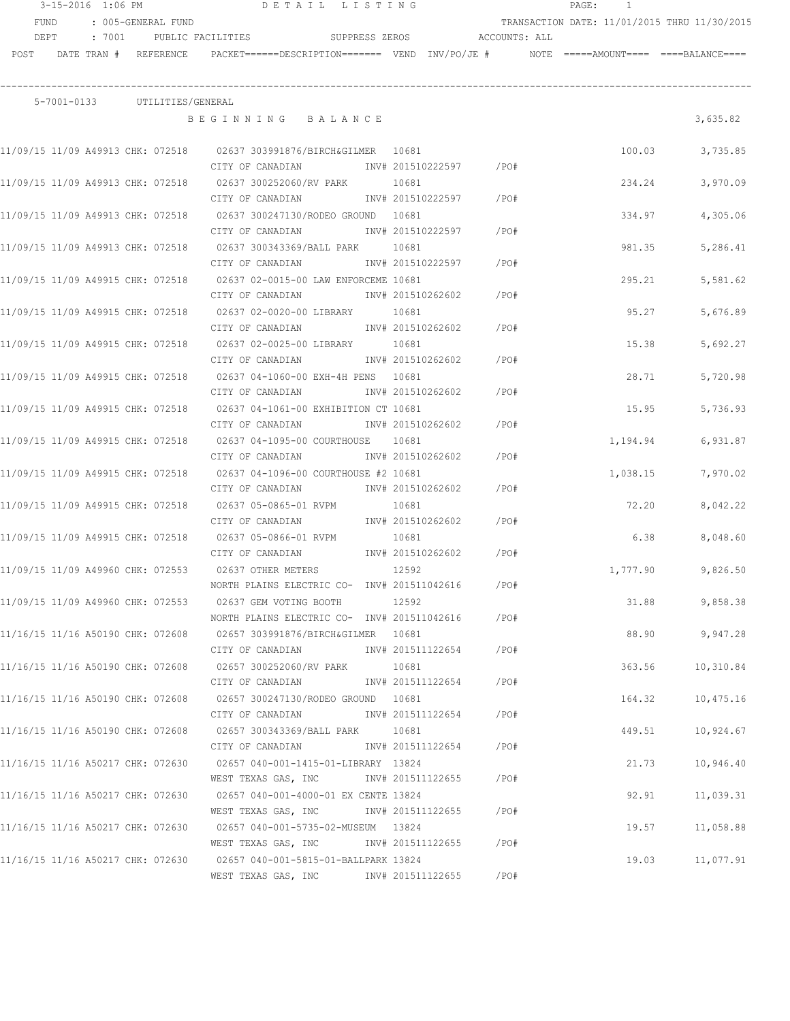|      | 3-15-2016 1:06 PM |                                                                                           |                     | DETAIL LISTING                                                                                                                                |                            |                           |      | $\mathtt{PAGE}$ :<br>$\mathbf{1}$                                                        |                      |
|------|-------------------|-------------------------------------------------------------------------------------------|---------------------|-----------------------------------------------------------------------------------------------------------------------------------------------|----------------------------|---------------------------|------|------------------------------------------------------------------------------------------|----------------------|
|      | FUND              | : 005-GENERAL FUND                                                                        |                     |                                                                                                                                               |                            |                           |      | TRANSACTION DATE: 11/01/2015 THRU 11/30/2015                                             |                      |
|      | DEPT              |                                                                                           |                     | : 7001 DUBLIC FACILITIES SUPPRESS ZEROS ACCOUNTS: ALL                                                                                         |                            |                           |      |                                                                                          |                      |
| POST |                   | DATE TRAN # REFERENCE                                                                     |                     |                                                                                                                                               |                            |                           |      | PACKET======DESCRIPTION======= VEND INV/PO/JE #     NOTE =====AMOUNT==== ====BALANCE==== |                      |
|      |                   | 5-7001-0133 UTILITIES/GENERAL                                                             |                     |                                                                                                                                               |                            |                           |      |                                                                                          |                      |
|      |                   |                                                                                           |                     | BEGINNING BALANCE                                                                                                                             |                            |                           |      |                                                                                          | 3,635.82             |
|      |                   |                                                                                           | CITY OF CANADIAN    | 11/09/15 11/09 A49913 CHK: 072518 02637 303991876/BIRCH&GILMER 10681                                                                          |                            | INV# 201510222597 /PO#    |      | 100.03                                                                                   | 3,735.85             |
|      |                   |                                                                                           | CITY OF CANADIAN    |                                                                                                                                               | 10681                      | INV# 201510222597<br>/PO# |      | 234.24                                                                                   | 3,970.09             |
|      |                   |                                                                                           |                     | 11/09/15 11/09 A49913 CHK: 072518 02637 300247130/RODEO GROUND 10681<br>CITY OF CANADIAN 1NV# 201510222597                                    |                            | /PO#                      |      | 334.97                                                                                   | 4,305.06             |
|      |                   |                                                                                           |                     | 11/09/15 11/09 A49913 CHK: 072518 02637 300343369/BALL PARK 10681<br>CITY OF CANADIAN METALLY 1NV# 201510222597                               |                            | /PO#                      |      | 981.35                                                                                   | 5,286.41             |
|      |                   |                                                                                           |                     | 11/09/15 11/09 A49915 CHK: 072518 02637 02-0015-00 LAW ENFORCEME 10681<br>CITY OF CANADIAN 1NV# 201510262602                                  |                            | /PO#                      |      | 295.21                                                                                   | 5,581.62             |
|      |                   |                                                                                           |                     | 11/09/15 11/09 A49915 CHK: 072518 02637 02-0020-00 LIBRARY 10681<br>CITY OF CANADIAN MW# 201510262602                                         |                            | /PO#                      |      | 95.27                                                                                    | 5,676.89             |
|      |                   |                                                                                           |                     | 11/09/15 11/09 A49915 CHK: 072518 02637 02-0025-00 LIBRARY 10681<br>CITY OF CANADIAN                                                          |                            | INV# 201510262602<br>/PO# |      | 15.38                                                                                    | 5,692.27             |
|      |                   |                                                                                           | CITY OF CANADIAN    | 11/09/15 11/09 A49915 CHK: 072518 02637 04-1060-00 EXH-4H PENS 10681                                                                          | INV# 201510262602          | /PO#                      |      | 28.71                                                                                    | 5,720.98             |
|      |                   | 11/09/15 11/09 A49915 CHK: 072518                                                         | CITY OF CANADIAN    | 02637 04-1061-00 EXHIBITION CT 10681                                                                                                          | INV# 201510262602          | /PO#                      |      | 15.95                                                                                    | 5,736.93             |
|      |                   | 11/09/15 11/09 A49915 CHK: 072518                                                         | CITY OF CANADIAN    | 02637 04-1095-00 COURTHOUSE 10681                                                                                                             | INV# 201510262602          | /PO#                      |      | 1,194.94                                                                                 | 6,931.87             |
|      |                   | 11/09/15 11/09 A49915 CHK: 072518                                                         | CITY OF CANADIAN    | 02637 04-1096-00 COURTHOUSE #2 10681                                                                                                          | INV# 201510262602          | /PO#                      |      | 1,038.15                                                                                 | 7,970.02             |
|      |                   | 11/09/15 11/09 A49915 CHK: 072518                                                         | CITY OF CANADIAN    | 02637 05-0865-01 RVPM                                                                                                                         | 10681<br>INV# 201510262602 | /PO#                      |      | 72.20                                                                                    | 8,042.22             |
|      |                   |                                                                                           |                     | 11/09/15 11/09 A49915 CHK: 072518 02637 05-0866-01 RVPM<br>CITY OF CANADIAN                                                                   | 10681                      | INV# 201510262602<br>/PO# |      | 6.38                                                                                     | 8,048.60             |
|      |                   | 11/09/15 11/09 A49960 CHK: 072553 02637 OTHER METERS<br>11/09/15 11/09 A49960 CHK: 072553 |                     | NORTH PLAINS ELECTRIC CO- INV# 201511042616                                                                                                   | 12592                      |                           | /PO# | 1,777.90                                                                                 | 9,826.50             |
|      |                   |                                                                                           |                     | 02637 GEM VOTING BOOTH<br>NORTH PLAINS ELECTRIC CO- INV# 201511042616<br>11/16/15 11/16 A50190 CHK: 072608 02657 303991876/BIRCH&GILMER 10681 | 12592                      |                           | /PO# | 31.88<br>88.90                                                                           | 9,858.38<br>9,947.28 |
|      |                   |                                                                                           | CITY OF CANADIAN    | 11/16/15 11/16 A50190 CHK: 072608 02657 300252060/RV PARK                                                                                     | INV# 201511122654<br>10681 |                           | /PO# | 363.56                                                                                   | 10,310.84            |
|      |                   |                                                                                           | CITY OF CANADIAN    | 11/16/15 11/16 A50190 CHK: 072608 02657 300247130/RODEO GROUND 10681                                                                          | INV# 201511122654          |                           | /PO# | 164.32                                                                                   | 10,475.16            |
|      |                   |                                                                                           | CITY OF CANADIAN    | 11/16/15 11/16 A50190 CHK: 072608 02657 300343369/BALL PARK                                                                                   | INV# 201511122654<br>10681 | /PO#                      |      | 449.51                                                                                   | 10,924.67            |
|      |                   | 11/16/15 11/16 A50217 CHK: 072630                                                         | CITY OF CANADIAN    | 02657 040-001-1415-01-LIBRARY 13824                                                                                                           | INV# 201511122654          | /PO#                      |      | 21.73                                                                                    | 10,946.40            |
|      |                   | 11/16/15 11/16 A50217 CHK: 072630                                                         |                     | WEST TEXAS GAS, INC<br>02657 040-001-4000-01 EX CENTE 13824                                                                                   | INV# 201511122655          | /PO#                      |      | 92.91                                                                                    | 11,039.31            |
|      |                   | 11/16/15 11/16 A50217 CHK: 072630                                                         |                     | WEST TEXAS GAS, INC<br>02657 040-001-5735-02-MUSEUM 13824                                                                                     |                            | /PO#<br>INV# 201511122655 |      | 19.57                                                                                    | 11,058.88            |
|      |                   | 11/16/15 11/16 A50217 CHK: 072630                                                         |                     | WEST TEXAS GAS, INC METRY 201511122655<br>02657 040-001-5815-01-BALLPARK 13824                                                                |                            | /PO#                      |      | 19.03                                                                                    | 11,077.91            |
|      |                   |                                                                                           | WEST TEXAS GAS, INC |                                                                                                                                               | INV# 201511122655          | /PO#                      |      |                                                                                          |                      |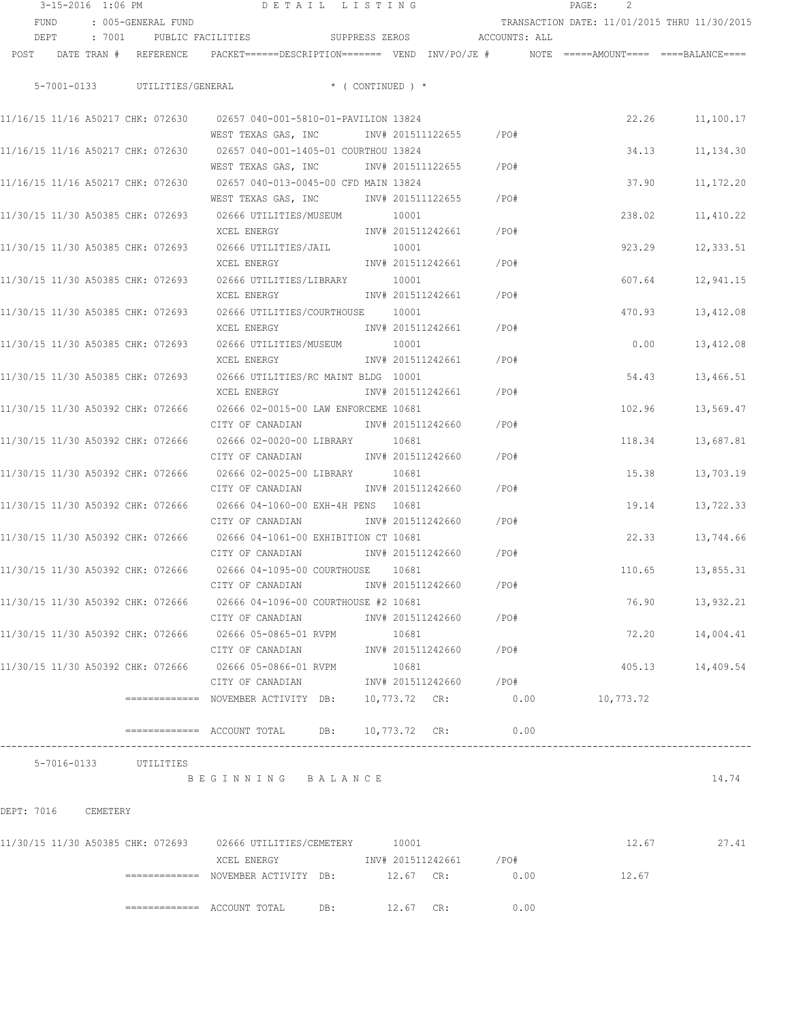|      | 3-15-2016 1:06 PM     |  |                                   |                                                                                                                       | DETAIL LISTING |                            |                              |       | PAGE:                                        |                  |
|------|-----------------------|--|-----------------------------------|-----------------------------------------------------------------------------------------------------------------------|----------------|----------------------------|------------------------------|-------|----------------------------------------------|------------------|
|      | FUND                  |  | : 005-GENERAL FUND                |                                                                                                                       |                |                            |                              |       | TRANSACTION DATE: 11/01/2015 THRU 11/30/2015 |                  |
|      | DEPT                  |  |                                   | : 7001 PUBLIC FACILITIES                                                                                              |                |                            | SUPPRESS ZEROS ACCOUNTS: ALL |       |                                              |                  |
| POST |                       |  |                                   | DATE TRAN # REFERENCE PACKET======DESCRIPTION======= VEND INV/PO/JE # NOTE =====AMOUNT==== ====BALANCE====            |                |                            |                              |       |                                              |                  |
|      |                       |  |                                   | 5-7001-0133 UTILITIES/GENERAL * (CONTINUED) *                                                                         |                |                            |                              |       |                                              |                  |
|      |                       |  |                                   |                                                                                                                       |                |                            |                              |       |                                              |                  |
|      |                       |  |                                   | 11/16/15 11/16 A50217 CHK: 072630 02657 040-001-5810-01-PAVILION 13824<br>WEST TEXAS GAS, INC 1NV# 201511122655 / PO# |                |                            |                              |       |                                              | 22.26 11,100.17  |
|      |                       |  |                                   | 11/16/15 11/16 A50217 CHK: 072630 02657 040-001-1405-01 COURTHOU 13824                                                |                |                            |                              |       | 34.13                                        | 11, 134.30       |
|      |                       |  |                                   | WEST TEXAS GAS, INC                                                                                                   |                | INV# 201511122655          |                              | /PO#  |                                              |                  |
|      |                       |  |                                   | 11/16/15 11/16 A50217 CHK: 072630 02657 040-013-0045-00 CFD MAIN 13824                                                |                |                            |                              |       | 37.90                                        | 11, 172.20       |
|      |                       |  |                                   | WEST TEXAS GAS, INC                                                                                                   |                | INV# 201511122655          |                              | /PO#  |                                              |                  |
|      |                       |  |                                   | 11/30/15 11/30 A50385 CHK: 072693 02666 UTILITIES/MUSEUM                                                              |                | 10001                      |                              |       | 238.02                                       | 11,410.22        |
|      |                       |  |                                   | XCEL ENERGY                                                                                                           |                | INV# 201511242661          |                              | /PO#  |                                              |                  |
|      |                       |  | 11/30/15 11/30 A50385 CHK: 072693 | 02666 UTILITIES/JAIL                                                                                                  |                | 10001                      |                              |       | 923.29                                       | 12,333.51        |
|      |                       |  |                                   | XCEL ENERGY                                                                                                           |                | INV# 201511242661          |                              | /PO#  |                                              |                  |
|      |                       |  | 11/30/15 11/30 A50385 CHK: 072693 | 02666 UTILITIES/LIBRARY                                                                                               |                | 10001                      |                              |       | 607.64                                       |                  |
|      |                       |  |                                   | XCEL ENERGY                                                                                                           |                |                            | INV# 201511242661            | /PO#  |                                              | 12,941.15        |
|      |                       |  |                                   | 11/30/15 11/30 A50385 CHK: 072693 02666 UTILITIES/COURTHOUSE 10001                                                    |                |                            |                              |       | 470.93                                       |                  |
|      |                       |  |                                   | XCEL ENERGY                                                                                                           |                |                            | INV# 201511242661 /PO#       |       |                                              | 13,412.08        |
|      |                       |  | 11/30/15 11/30 A50385 CHK: 072693 |                                                                                                                       |                |                            |                              |       |                                              |                  |
|      |                       |  |                                   | 02666 UTILITIES/MUSEUM 10001<br>XCEL ENERGY                                                                           |                |                            | INV# 201511242661            | /PO#  | 0.00                                         | 13,412.08        |
|      |                       |  |                                   |                                                                                                                       |                |                            |                              |       |                                              |                  |
|      |                       |  |                                   | 11/30/15 11/30 A50385 CHK: 072693 02666 UTILITIES/RC MAINT BLDG 10001                                                 |                |                            | INV# 201511242661            | /PO#  | 54.43                                        | 13,466.51        |
|      |                       |  |                                   | XCEL ENERGY                                                                                                           |                |                            |                              |       |                                              |                  |
|      |                       |  |                                   | 11/30/15 11/30 A50392 CHK: 072666 02666 02-0015-00 LAW ENFORCEME 10681<br>CITY OF CANADIAN                            |                | INV# 201511242660          |                              | /PO#  | 102.96                                       | 13,569.47        |
|      |                       |  |                                   |                                                                                                                       |                |                            |                              |       |                                              |                  |
|      |                       |  |                                   | 11/30/15 11/30 A50392 CHK: 072666      02666 02-0020-00 LIBRARY<br>CITY OF CANADIAN                                   |                | 10681<br>INV# 201511242660 |                              | /PO#  | 118.34                                       | 13,687.81        |
|      |                       |  |                                   |                                                                                                                       |                |                            |                              |       |                                              |                  |
|      |                       |  | 11/30/15 11/30 A50392 CHK: 072666 | 02666 02-0025-00 LIBRARY 10681                                                                                        |                |                            |                              |       | 15.38                                        | 13,703.19        |
|      |                       |  |                                   | CITY OF CANADIAN                                                                                                      |                | INV# 201511242660          |                              | /PO#  |                                              |                  |
|      |                       |  | 11/30/15 11/30 A50392 CHK: 072666 | 02666 04-1060-00 EXH-4H PENS 10681                                                                                    |                |                            |                              |       | 19.14                                        | 13,722.33        |
|      |                       |  |                                   | CITY OF CANADIAN                                                                                                      |                | INV# 201511242660          |                              | /PO#  |                                              |                  |
|      |                       |  |                                   | 11/30/15 11/30 A50392 CHK: 072666 02666 04-1061-00 EXHIBITION CT 10681                                                |                |                            |                              |       | 22.33                                        | 13,744.66        |
|      |                       |  |                                   | CITY OF CANADIAN                                                                                                      |                | INV# 201511242660          |                              | /PO#  |                                              |                  |
|      |                       |  |                                   | 11/30/15 11/30 A50392 CHK: 072666 02666 04-1095-00 COURTHOUSE                                                         |                | 10681                      |                              |       |                                              | 110.65 13,855.31 |
|      |                       |  |                                   | CITY OF CANADIAN                                                                                                      |                | INV# 201511242660          |                              | /PO#  |                                              |                  |
|      |                       |  |                                   | 11/30/15 11/30 A50392 CHK: 072666 02666 04-1096-00 COURTHOUSE #2 10681                                                |                |                            |                              |       |                                              | 76.90 13,932.21  |
|      |                       |  |                                   | CITY OF CANADIAN 6 1NV# 201511242660 / PO#                                                                            |                |                            |                              |       |                                              |                  |
|      |                       |  |                                   | 11/30/15 11/30 A50392 CHK: 072666   02666 05-0865-01 RVPM                                                             |                | 10681                      |                              |       | 72.20                                        | 14,004.41        |
|      |                       |  |                                   | CITY OF CANADIAN                                                                                                      |                |                            | INV# 201511242660            | / PO# |                                              |                  |
|      |                       |  |                                   | 11/30/15 11/30 A50392 CHK: 072666 02666 05-0866-01 RVPM                                                               |                | 10681                      |                              |       |                                              | 405.13 14,409.54 |
|      |                       |  |                                   | CITY OF CANADIAN                                                                                                      |                |                            | INV# 201511242660 /PO#       |       |                                              |                  |
|      |                       |  |                                   | ============ NOVEMBER ACTIVITY DB: 10,773.72 CR: 0.00 10,773.72                                                       |                |                            |                              |       |                                              |                  |
|      |                       |  |                                   | ============ ACCOUNT TOTAL DB: 10,773.72 CR: 0.00                                                                     |                |                            |                              |       |                                              |                  |
|      | 5-7016-0133 UTILITIES |  |                                   |                                                                                                                       |                |                            |                              |       |                                              |                  |
|      |                       |  |                                   | BEGINNING BALANCE                                                                                                     |                |                            |                              |       |                                              | 14.74            |
|      |                       |  |                                   |                                                                                                                       |                |                            |                              |       |                                              |                  |
|      | DEPT: 7016 CEMETERY   |  |                                   |                                                                                                                       |                |                            |                              |       |                                              |                  |
|      |                       |  |                                   |                                                                                                                       |                |                            |                              |       |                                              |                  |
|      |                       |  |                                   | 11/30/15 11/30 A50385 CHK: 072693 02666 UTILITIES/CEMETERY 10001                                                      |                |                            |                              |       |                                              | 12.67 27.41      |
|      |                       |  |                                   | XCEL ENERGY 1NV# 201511242661 /PO#                                                                                    |                |                            |                              |       |                                              |                  |
|      |                       |  |                                   |                                                                                                                       |                |                            |                              | 0.00  | 12.67                                        |                  |
|      |                       |  |                                   |                                                                                                                       |                |                            |                              |       |                                              |                  |
|      |                       |  |                                   | $\texttt{-----} \texttt{-----}$ ACCOUNT TOTAL DB: $\texttt{12.67}$ CR:                                                |                |                            |                              | 0.00  |                                              |                  |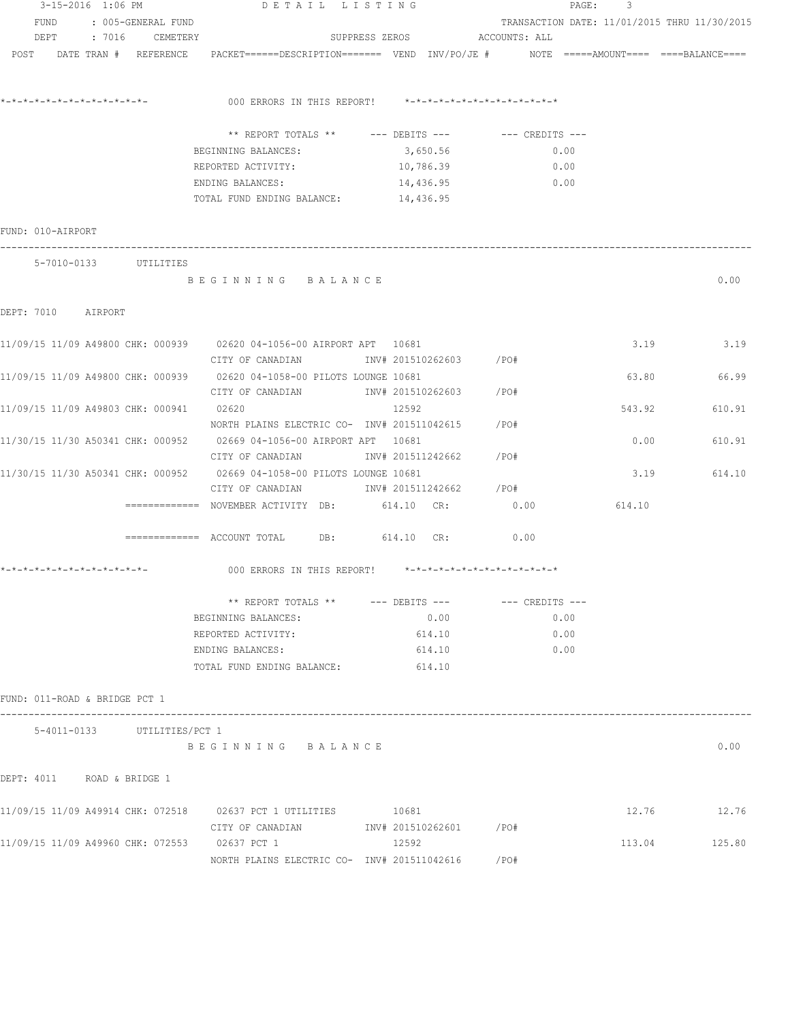|                                         | 3-15-2016 1:06 PM       | DETAIL LISTING                                                                                                        |                              | PAGE:                                        | 3      |               |
|-----------------------------------------|-------------------------|-----------------------------------------------------------------------------------------------------------------------|------------------------------|----------------------------------------------|--------|---------------|
|                                         | FUND : 005-GENERAL FUND |                                                                                                                       |                              | TRANSACTION DATE: 11/01/2015 THRU 11/30/2015 |        |               |
|                                         | DEPT : 7016 CEMETERY    |                                                                                                                       | SUPPRESS ZEROS ACCOUNTS: ALL |                                              |        |               |
|                                         |                         | POST DATE TRAN # REFERENCE PACKET======DESCRIPTION======= VEND INV/PO/JE # NOTE =====AMOUNT==== ====BALANCE====       |                              |                                              |        |               |
|                                         |                         | 000 ERRORS IN THIS REPORT! *-*-*-*-*-*-*-*-*-*-*-*-*-*-                                                               |                              |                                              |        |               |
|                                         |                         |                                                                                                                       |                              |                                              |        |               |
|                                         |                         | ** REPORT TOTALS ** --- DEBITS --- -- CREDITS ---                                                                     |                              |                                              |        |               |
|                                         |                         | BEGINNING BALANCES:                                                                                                   | 3,650.56                     | 0.00                                         |        |               |
|                                         |                         | REPORTED ACTIVITY: 10,786.39                                                                                          |                              | 0.00                                         |        |               |
|                                         |                         | ENDING BALANCES:                                                                                                      | 14,436.95                    | $\sim$ 0.00                                  |        |               |
|                                         |                         | TOTAL FUND ENDING BALANCE: 14,436.95                                                                                  |                              |                                              |        |               |
| FUND: 010-AIRPORT                       |                         |                                                                                                                       |                              |                                              |        |               |
|                                         | 5-7010-0133 UTILITIES   |                                                                                                                       |                              |                                              |        |               |
|                                         |                         | BEGINNING BALANCE                                                                                                     |                              |                                              |        | 0.00          |
| DEPT: 7010 AIRPORT                      |                         |                                                                                                                       |                              |                                              |        |               |
|                                         |                         | 11/09/15 11/09 A49800 CHK: 000939 02620 04-1056-00 AIRPORT APT 10681                                                  |                              |                                              |        | $3.19$ $3.19$ |
|                                         |                         | CITY OF CANADIAN 1NV# 201510262603 / PO#                                                                              |                              |                                              |        |               |
|                                         |                         | 11/09/15 11/09 A49800 CHK: 000939 02620 04-1058-00 PILOTS LOUNGE 10681                                                |                              |                                              | 63.80  | 66.99         |
|                                         |                         |                                                                                                                       |                              |                                              |        |               |
| 11/09/15 11/09 A49803 CHK: 000941 02620 |                         |                                                                                                                       | 12592                        |                                              | 543.92 | 610.91        |
|                                         |                         | NORTH PLAINS ELECTRIC CO- INV# 201511042615 / PO#                                                                     |                              |                                              |        |               |
|                                         |                         |                                                                                                                       |                              |                                              |        |               |
|                                         |                         | 11/30/15 11/30 A50341 CHK: 000952 02669 04-1056-00 AIRPORT APT 10681                                                  |                              |                                              | 0.00   | 610.91        |
|                                         |                         | CITY OF CANADIAN                                                                                                      | INV# 201511242662 /PO#       |                                              |        |               |
|                                         |                         | 11/30/15 11/30 A50341 CHK: 000952 02669 04-1058-00 PILOTS LOUNGE 10681                                                |                              |                                              | 3.19   | 614.10        |
|                                         |                         | CITY OF CANADIAN 1NV# 201511242662 / PO#                                                                              |                              |                                              |        |               |
|                                         |                         | ============ NOVEMBER ACTIVITY DB: 614.10 CR: 0.00                                                                    |                              |                                              | 614.10 |               |
|                                         |                         | $\hbox{\tt == == == ==} \hbox{\tt ACCOUNT TOTAL} \hbox{\tt DB:} \hbox{\tt 614.10} \hbox{\tt CR:} \hbox{\tt \tt 0.00}$ |                              |                                              |        |               |
|                                         |                         |                                                                                                                       |                              |                                              |        |               |
|                                         |                         | ** REPORT TOTALS ** --- DEBITS --- -- -- CREDITS ---                                                                  |                              |                                              |        |               |
|                                         |                         | BEGINNING BALANCES:                                                                                                   | 0.00                         | 0.00                                         |        |               |
|                                         |                         | REPORTED ACTIVITY:                                                                                                    | 614.10                       | 0.00                                         |        |               |
|                                         |                         | ENDING BALANCES:                                                                                                      | 614.10                       | 0.00                                         |        |               |
|                                         |                         | TOTAL FUND ENDING BALANCE:                                                                                            | 614.10                       |                                              |        |               |
| FUND: 011-ROAD & BRIDGE PCT 1           |                         |                                                                                                                       |                              |                                              |        |               |
| 5-4011-0133                             | UTILITIES/PCT 1         |                                                                                                                       |                              |                                              |        |               |
|                                         |                         | BEGINNING BALANCE                                                                                                     |                              |                                              |        | 0.00          |
| DEPT: 4011                              | ROAD & BRIDGE 1         |                                                                                                                       |                              |                                              |        |               |
|                                         |                         | 11/09/15 11/09 A49914 CHK: 072518 02637 PCT 1 UTILITIES                                                               | 10681                        |                                              | 12.76  | 12.76         |
|                                         |                         | CITY OF CANADIAN                                                                                                      | INV# 201510262601 /PO#       |                                              |        |               |
|                                         |                         | 11/09/15 11/09 A49960 CHK: 072553 02637 PCT 1                                                                         | 12592                        |                                              | 113.04 | 125.80        |
|                                         |                         | NORTH PLAINS ELECTRIC CO- INV# 201511042616                                                                           |                              | /PO#                                         |        |               |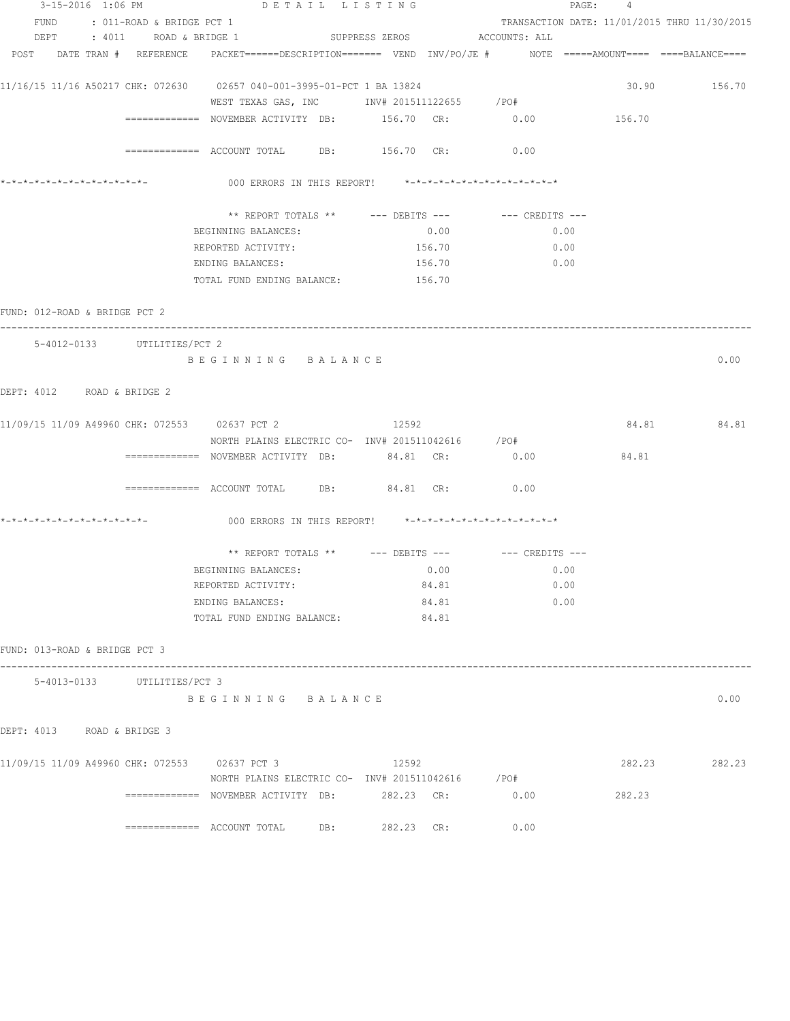|                                                                                                                                                                                                                                                                                                                                                                                                                                                                                                                                                                                                                                                                                                                                                                                                                                                                                                                                                                                                                                                                                                                                                                                                                                                                                                                                                                                                                                                                                                                                                                                                                                                                                                                                                                                                                                                                                                                              |                  |  |  |  | 0.00 |  |
|------------------------------------------------------------------------------------------------------------------------------------------------------------------------------------------------------------------------------------------------------------------------------------------------------------------------------------------------------------------------------------------------------------------------------------------------------------------------------------------------------------------------------------------------------------------------------------------------------------------------------------------------------------------------------------------------------------------------------------------------------------------------------------------------------------------------------------------------------------------------------------------------------------------------------------------------------------------------------------------------------------------------------------------------------------------------------------------------------------------------------------------------------------------------------------------------------------------------------------------------------------------------------------------------------------------------------------------------------------------------------------------------------------------------------------------------------------------------------------------------------------------------------------------------------------------------------------------------------------------------------------------------------------------------------------------------------------------------------------------------------------------------------------------------------------------------------------------------------------------------------------------------------------------------------|------------------|--|--|--|------|--|
|                                                                                                                                                                                                                                                                                                                                                                                                                                                                                                                                                                                                                                                                                                                                                                                                                                                                                                                                                                                                                                                                                                                                                                                                                                                                                                                                                                                                                                                                                                                                                                                                                                                                                                                                                                                                                                                                                                                              |                  |  |  |  |      |  |
|                                                                                                                                                                                                                                                                                                                                                                                                                                                                                                                                                                                                                                                                                                                                                                                                                                                                                                                                                                                                                                                                                                                                                                                                                                                                                                                                                                                                                                                                                                                                                                                                                                                                                                                                                                                                                                                                                                                              |                  |  |  |  |      |  |
|                                                                                                                                                                                                                                                                                                                                                                                                                                                                                                                                                                                                                                                                                                                                                                                                                                                                                                                                                                                                                                                                                                                                                                                                                                                                                                                                                                                                                                                                                                                                                                                                                                                                                                                                                                                                                                                                                                                              |                  |  |  |  |      |  |
|                                                                                                                                                                                                                                                                                                                                                                                                                                                                                                                                                                                                                                                                                                                                                                                                                                                                                                                                                                                                                                                                                                                                                                                                                                                                                                                                                                                                                                                                                                                                                                                                                                                                                                                                                                                                                                                                                                                              |                  |  |  |  |      |  |
|                                                                                                                                                                                                                                                                                                                                                                                                                                                                                                                                                                                                                                                                                                                                                                                                                                                                                                                                                                                                                                                                                                                                                                                                                                                                                                                                                                                                                                                                                                                                                                                                                                                                                                                                                                                                                                                                                                                              |                  |  |  |  |      |  |
|                                                                                                                                                                                                                                                                                                                                                                                                                                                                                                                                                                                                                                                                                                                                                                                                                                                                                                                                                                                                                                                                                                                                                                                                                                                                                                                                                                                                                                                                                                                                                                                                                                                                                                                                                                                                                                                                                                                              |                  |  |  |  |      |  |
|                                                                                                                                                                                                                                                                                                                                                                                                                                                                                                                                                                                                                                                                                                                                                                                                                                                                                                                                                                                                                                                                                                                                                                                                                                                                                                                                                                                                                                                                                                                                                                                                                                                                                                                                                                                                                                                                                                                              |                  |  |  |  |      |  |
|                                                                                                                                                                                                                                                                                                                                                                                                                                                                                                                                                                                                                                                                                                                                                                                                                                                                                                                                                                                                                                                                                                                                                                                                                                                                                                                                                                                                                                                                                                                                                                                                                                                                                                                                                                                                                                                                                                                              |                  |  |  |  |      |  |
|                                                                                                                                                                                                                                                                                                                                                                                                                                                                                                                                                                                                                                                                                                                                                                                                                                                                                                                                                                                                                                                                                                                                                                                                                                                                                                                                                                                                                                                                                                                                                                                                                                                                                                                                                                                                                                                                                                                              |                  |  |  |  |      |  |
|                                                                                                                                                                                                                                                                                                                                                                                                                                                                                                                                                                                                                                                                                                                                                                                                                                                                                                                                                                                                                                                                                                                                                                                                                                                                                                                                                                                                                                                                                                                                                                                                                                                                                                                                                                                                                                                                                                                              |                  |  |  |  |      |  |
|                                                                                                                                                                                                                                                                                                                                                                                                                                                                                                                                                                                                                                                                                                                                                                                                                                                                                                                                                                                                                                                                                                                                                                                                                                                                                                                                                                                                                                                                                                                                                                                                                                                                                                                                                                                                                                                                                                                              |                  |  |  |  |      |  |
|                                                                                                                                                                                                                                                                                                                                                                                                                                                                                                                                                                                                                                                                                                                                                                                                                                                                                                                                                                                                                                                                                                                                                                                                                                                                                                                                                                                                                                                                                                                                                                                                                                                                                                                                                                                                                                                                                                                              |                  |  |  |  |      |  |
|                                                                                                                                                                                                                                                                                                                                                                                                                                                                                                                                                                                                                                                                                                                                                                                                                                                                                                                                                                                                                                                                                                                                                                                                                                                                                                                                                                                                                                                                                                                                                                                                                                                                                                                                                                                                                                                                                                                              | ENDING BALANCES: |  |  |  |      |  |
|                                                                                                                                                                                                                                                                                                                                                                                                                                                                                                                                                                                                                                                                                                                                                                                                                                                                                                                                                                                                                                                                                                                                                                                                                                                                                                                                                                                                                                                                                                                                                                                                                                                                                                                                                                                                                                                                                                                              |                  |  |  |  |      |  |
| 3-15-2016 1:06 PM DETAIL LISTING<br>PAGE: 4<br>FUND : 011-ROAD & BRIDGE PCT 1<br>TRANSACTION DATE: 11/01/2015 THRU 11/30/2015<br>SUPPRESS ZEROS ACCOUNTS: ALL<br>DEPT : 4011 ROAD & BRIDGE 1<br>POST DATE TRAN # REFERENCE PACKET======DESCRIPTION======= VEND INV/PO/JE # NOTE =====AMOUNT==== ====BALANCE====<br>11/16/15 11/16 A50217 CHK: 072630 02657 040-001-3995-01-PCT 1 BA 13824<br>30.90 156.70<br>WEST TEXAS GAS, INC       INV# 201511122655     /PO#<br>============ NOVEMBER ACTIVITY DB: 156.70 CR: 0.00<br>156.70<br>============ ACCOUNT TOTAL DB: 156.70 CR: 0.00<br>000 ERRORS IN THIS REPORT! *-*-*-*-*-*-*-*-*-*-*-*-*-*-<br>** REPORT TOTALS ** --- DEBITS --- -- CREDITS ---<br>0.00<br>BEGINNING BALANCES:<br>0.00<br>REPORTED ACTIVITY:<br>156.70<br>0.00<br>156.70<br>0.00<br>ENDING BALANCES:<br>TOTAL FUND ENDING BALANCE: 156.70<br>FUND: 012-ROAD & BRIDGE PCT 2<br>5-4012-0133 UTILITIES/PCT 2<br>BEGINNING BALANCE<br>DEPT: 4012 ROAD & BRIDGE 2<br>11/09/15 11/09 A49960 CHK: 072553 02637 PCT 2 12592<br>84.81 84.81<br>NORTH PLAINS ELECTRIC CO- INV# 201511042616 /PO#<br>84.81<br>============= NOVEMBER ACTIVITY DB: 84.81 CR:<br>0.00<br>$\texttt{-----}$ =========== ACCOUNT TOTAL DB: $84.81$ CR: $0.00$<br>000 ERRORS IN THIS REPORT! *-*-*-*-*-*-*-*-*-*-*-*-*-*-<br>** REPORT TOTALS ** --- DEBITS --- -- CREDITS ---<br>BEGINNING BALANCES:<br>0.00<br>0.00<br>84.81<br>0.00<br>REPORTED ACTIVITY:<br>0.00<br>84.81<br>84.81<br>TOTAL FUND ENDING BALANCE:<br>FUND: 013-ROAD & BRIDGE PCT 3<br>5-4013-0133 UTILITIES/PCT 3<br>0.00<br>BEGINNING BALANCE<br>DEPT: 4013 ROAD & BRIDGE 3<br>11/09/15 11/09 A49960 CHK: 072553 02637 PCT 3<br>12592<br>282.23<br>282.23<br>NORTH PLAINS ELECTRIC CO- INV# 201511042616 / PO#<br>============= NOVEMBER ACTIVITY DB: 282.23 CR:<br>0.00<br>282.23<br>$\overline{\phantom{z}}$ ============== ACCOUNT TOTAL DB:<br>282.23 CR:<br>0.00 |                  |  |  |  |      |  |
|                                                                                                                                                                                                                                                                                                                                                                                                                                                                                                                                                                                                                                                                                                                                                                                                                                                                                                                                                                                                                                                                                                                                                                                                                                                                                                                                                                                                                                                                                                                                                                                                                                                                                                                                                                                                                                                                                                                              |                  |  |  |  |      |  |
|                                                                                                                                                                                                                                                                                                                                                                                                                                                                                                                                                                                                                                                                                                                                                                                                                                                                                                                                                                                                                                                                                                                                                                                                                                                                                                                                                                                                                                                                                                                                                                                                                                                                                                                                                                                                                                                                                                                              |                  |  |  |  |      |  |
|                                                                                                                                                                                                                                                                                                                                                                                                                                                                                                                                                                                                                                                                                                                                                                                                                                                                                                                                                                                                                                                                                                                                                                                                                                                                                                                                                                                                                                                                                                                                                                                                                                                                                                                                                                                                                                                                                                                              |                  |  |  |  |      |  |
|                                                                                                                                                                                                                                                                                                                                                                                                                                                                                                                                                                                                                                                                                                                                                                                                                                                                                                                                                                                                                                                                                                                                                                                                                                                                                                                                                                                                                                                                                                                                                                                                                                                                                                                                                                                                                                                                                                                              |                  |  |  |  |      |  |
|                                                                                                                                                                                                                                                                                                                                                                                                                                                                                                                                                                                                                                                                                                                                                                                                                                                                                                                                                                                                                                                                                                                                                                                                                                                                                                                                                                                                                                                                                                                                                                                                                                                                                                                                                                                                                                                                                                                              |                  |  |  |  |      |  |
|                                                                                                                                                                                                                                                                                                                                                                                                                                                                                                                                                                                                                                                                                                                                                                                                                                                                                                                                                                                                                                                                                                                                                                                                                                                                                                                                                                                                                                                                                                                                                                                                                                                                                                                                                                                                                                                                                                                              |                  |  |  |  |      |  |
|                                                                                                                                                                                                                                                                                                                                                                                                                                                                                                                                                                                                                                                                                                                                                                                                                                                                                                                                                                                                                                                                                                                                                                                                                                                                                                                                                                                                                                                                                                                                                                                                                                                                                                                                                                                                                                                                                                                              |                  |  |  |  |      |  |
|                                                                                                                                                                                                                                                                                                                                                                                                                                                                                                                                                                                                                                                                                                                                                                                                                                                                                                                                                                                                                                                                                                                                                                                                                                                                                                                                                                                                                                                                                                                                                                                                                                                                                                                                                                                                                                                                                                                              |                  |  |  |  |      |  |
|                                                                                                                                                                                                                                                                                                                                                                                                                                                                                                                                                                                                                                                                                                                                                                                                                                                                                                                                                                                                                                                                                                                                                                                                                                                                                                                                                                                                                                                                                                                                                                                                                                                                                                                                                                                                                                                                                                                              |                  |  |  |  |      |  |